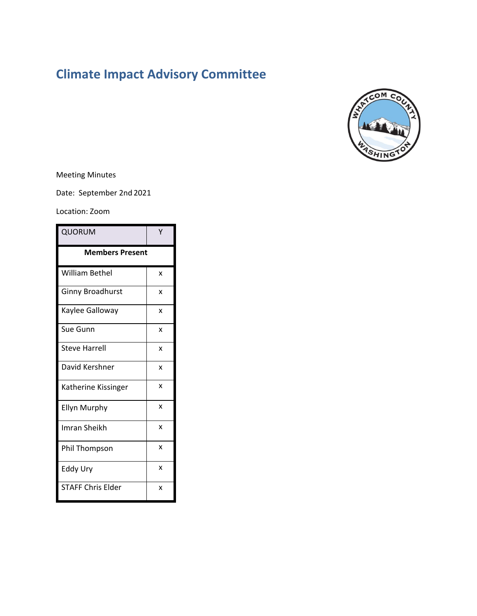# **Climate Impact Advisory Committee**



Meeting Minutes

Date: September 2nd 2021

Location: Zoom

| <b>QUORUM</b>            | Υ |
|--------------------------|---|
| <b>Members Present</b>   |   |
| William Bethel           | x |
| <b>Ginny Broadhurst</b>  | x |
| Kaylee Galloway          | X |
| Sue Gunn                 | x |
| <b>Steve Harrell</b>     | x |
| David Kershner           | x |
| Katherine Kissinger      | x |
| <b>Ellyn Murphy</b>      | x |
| Imran Sheikh             | x |
| Phil Thompson            | x |
| Eddy Ury                 | X |
| <b>STAFF Chris Elder</b> | x |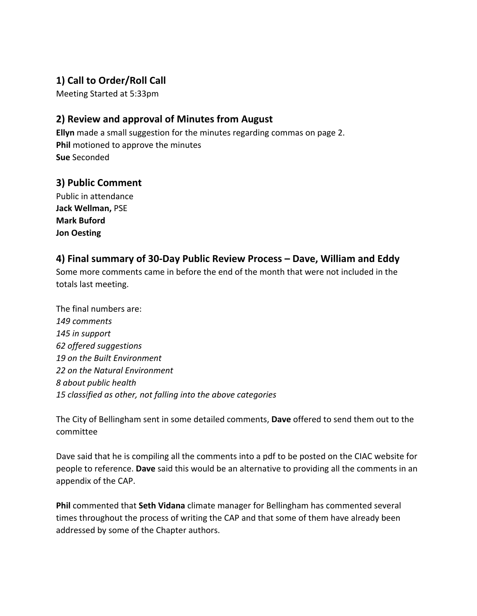## **1) Call to Order/Roll Call**

Meeting Started at 5:33pm

## **2) Review and approval of Minutes from August**

**Ellyn** made a small suggestion for the minutes regarding commas on page 2. **Phil** motioned to approve the minutes **Sue** Seconded

## **3) Public Comment**

Public in attendance **Jack Wellman,** PSE **Mark Buford Jon Oesting**

## **4) Final summary of 30-Day Public Review Process – Dave, William and Eddy**

Some more comments came in before the end of the month that were not included in the totals last meeting.

The final numbers are: *149 comments 145 in support 62 offered suggestions 19 on the Built Environment 22 on the Natural Environment 8 about public health 15 classified as other, not falling into the above categories*

The City of Bellingham sent in some detailed comments, **Dave** offered to send them out to the committee

Dave said that he is compiling all the comments into a pdf to be posted on the CIAC website for people to reference. **Dave** said this would be an alternative to providing all the comments in an appendix of the CAP.

**Phil** commented that **Seth Vidana** climate manager for Bellingham has commented several times throughout the process of writing the CAP and that some of them have already been addressed by some of the Chapter authors.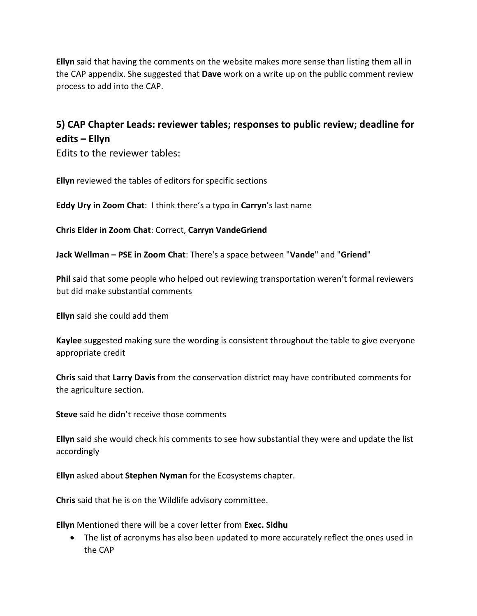**Ellyn** said that having the comments on the website makes more sense than listing them all in the CAP appendix. She suggested that **Dave** work on a write up on the public comment review process to add into the CAP.

## **5) CAP Chapter Leads: reviewer tables; responses to public review; deadline for edits – Ellyn**

Edits to the reviewer tables:

**Ellyn** reviewed the tables of editors for specific sections

**Eddy Ury in Zoom Chat**: I think there's a typo in **Carryn**'s last name

**Chris Elder in Zoom Chat**: Correct, **Carryn VandeGriend**

**Jack Wellman – PSE in Zoom Chat**: There's a space between "**Vande**" and "**Griend**"

**Phil** said that some people who helped out reviewing transportation weren't formal reviewers but did make substantial comments

**Ellyn** said she could add them

**Kaylee** suggested making sure the wording is consistent throughout the table to give everyone appropriate credit

**Chris** said that **Larry Davis** from the conservation district may have contributed comments for the agriculture section.

**Steve** said he didn't receive those comments

**Ellyn** said she would check his comments to see how substantial they were and update the list accordingly

**Ellyn** asked about **Stephen Nyman** for the Ecosystems chapter.

**Chris** said that he is on the Wildlife advisory committee.

**Ellyn** Mentioned there will be a cover letter from **Exec. Sidhu**

• The list of acronyms has also been updated to more accurately reflect the ones used in the CAP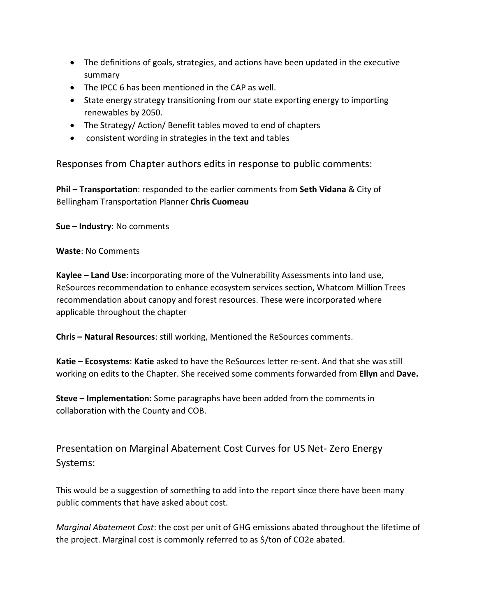- The definitions of goals, strategies, and actions have been updated in the executive summary
- The IPCC 6 has been mentioned in the CAP as well.
- State energy strategy transitioning from our state exporting energy to importing renewables by 2050.
- The Strategy/ Action/ Benefit tables moved to end of chapters
- consistent wording in strategies in the text and tables

Responses from Chapter authors edits in response to public comments:

**Phil – Transportation**: responded to the earlier comments from **Seth Vidana** & City of Bellingham Transportation Planner **Chris Cuomeau**

**Sue – Industry**: No comments

**Waste**: No Comments

**Kaylee – Land Use**: incorporating more of the Vulnerability Assessments into land use, ReSources recommendation to enhance ecosystem services section, Whatcom Million Trees recommendation about canopy and forest resources. These were incorporated where applicable throughout the chapter

**Chris – Natural Resources**: still working, Mentioned the ReSources comments.

**Katie – Ecosystems**: **Katie** asked to have the ReSources letter re-sent. And that she was still working on edits to the Chapter. She received some comments forwarded from **Ellyn** and **Dave.** 

**Steve – Implementation:** Some paragraphs have been added from the comments in collaboration with the County and COB.

Presentation on Marginal Abatement Cost Curves for US Net- Zero Energy Systems:

This would be a suggestion of something to add into the report since there have been many public comments that have asked about cost.

*Marginal Abatement Cost*: the cost per unit of GHG emissions abated throughout the lifetime of the project. Marginal cost is commonly referred to as \$/ton of CO2e abated.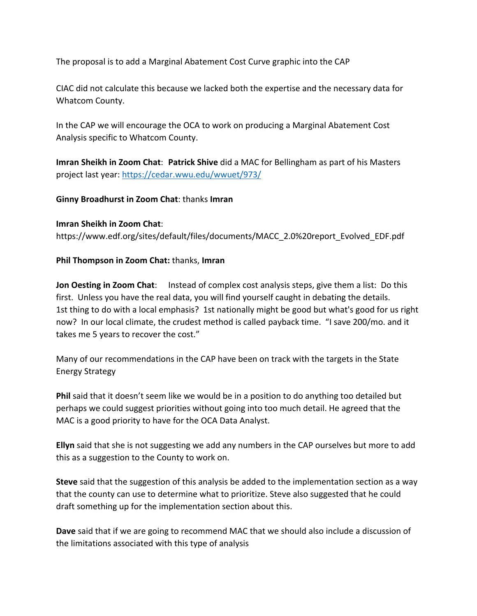The proposal is to add a Marginal Abatement Cost Curve graphic into the CAP

CIAC did not calculate this because we lacked both the expertise and the necessary data for Whatcom County.

In the CAP we will encourage the OCA to work on producing a Marginal Abatement Cost Analysis specific to Whatcom County.

**Imran Sheikh in Zoom Chat**: **Patrick Shive** did a MAC for Bellingham as part of his Masters project last year:<https://cedar.wwu.edu/wwuet/973/>

#### **Ginny Broadhurst in Zoom Chat**: thanks **Imran**

**Imran Sheikh in Zoom Chat**: [https://www.edf.org/sites/default/files/documents/MACC\\_2.0%20report\\_Evolved\\_EDF.pdf](https://www.edf.org/sites/default/files/documents/MACC_2.0%20report_Evolved_EDF.pdf)

#### **Phil Thompson in Zoom Chat:** thanks, **Imran**

**Jon Oesting in Zoom Chat**: Instead of complex cost analysis steps, give them a list: Do this first. Unless you have the real data, you will find yourself caught in debating the details. 1st thing to do with a local emphasis? 1st nationally might be good but what's good for us right now? In our local climate, the crudest method is called payback time. "I save 200/mo. and it takes me 5 years to recover the cost."

Many of our recommendations in the CAP have been on track with the targets in the State Energy Strategy

**Phil** said that it doesn't seem like we would be in a position to do anything too detailed but perhaps we could suggest priorities without going into too much detail. He agreed that the MAC is a good priority to have for the OCA Data Analyst.

**Ellyn** said that she is not suggesting we add any numbers in the CAP ourselves but more to add this as a suggestion to the County to work on.

**Steve** said that the suggestion of this analysis be added to the implementation section as a way that the county can use to determine what to prioritize. Steve also suggested that he could draft something up for the implementation section about this.

**Dave** said that if we are going to recommend MAC that we should also include a discussion of the limitations associated with this type of analysis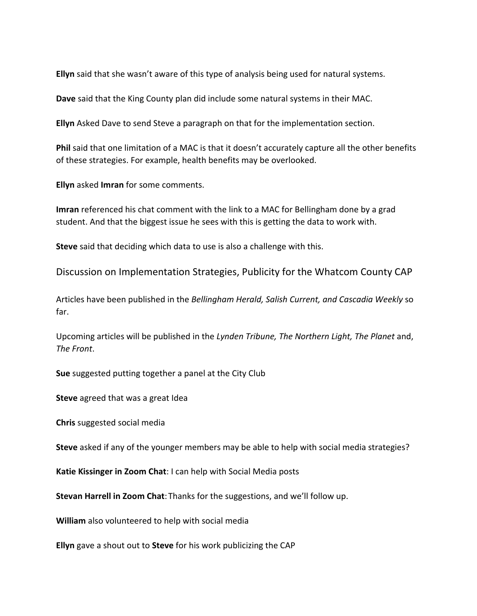**Ellyn** said that she wasn't aware of this type of analysis being used for natural systems.

**Dave** said that the King County plan did include some natural systems in their MAC.

**Ellyn** Asked Dave to send Steve a paragraph on that for the implementation section.

**Phil** said that one limitation of a MAC is that it doesn't accurately capture all the other benefits of these strategies. For example, health benefits may be overlooked.

**Ellyn** asked **Imran** for some comments.

**Imran** referenced his chat comment with the link to a MAC for Bellingham done by a grad student. And that the biggest issue he sees with this is getting the data to work with.

**Steve** said that deciding which data to use is also a challenge with this.

Discussion on Implementation Strategies, Publicity for the Whatcom County CAP

Articles have been published in the *Bellingham Herald, Salish Current, and Cascadia Weekly* so far.

Upcoming articles will be published in the *Lynden Tribune, The Northern Light, The Planet* and, *The Front*.

**Sue** suggested putting together a panel at the City Club

**Steve** agreed that was a great Idea

**Chris** suggested social media

**Steve** asked if any of the younger members may be able to help with social media strategies?

**Katie Kissinger in Zoom Chat**: I can help with Social Media posts

**Stevan Harrell in Zoom Chat**:Thanks for the suggestions, and we'll follow up.

**William** also volunteered to help with social media

**Ellyn** gave a shout out to **Steve** for his work publicizing the CAP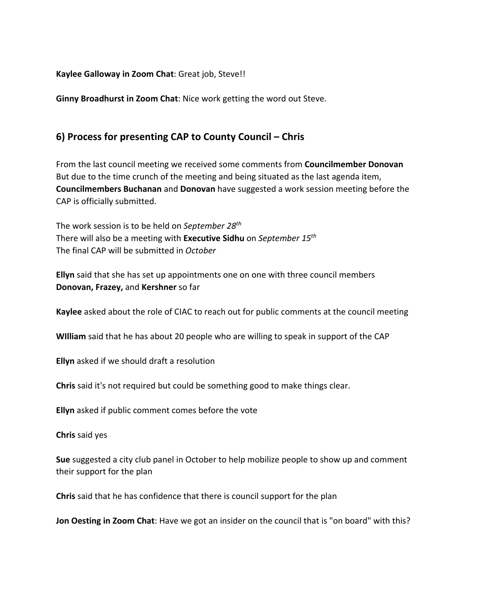**Kaylee Galloway in Zoom Chat**: Great job, Steve!!

**Ginny Broadhurst in Zoom Chat**: Nice work getting the word out Steve.

## **6) Process for presenting CAP to County Council – Chris**

From the last council meeting we received some comments from **Councilmember Donovan** But due to the time crunch of the meeting and being situated as the last agenda item, **Councilmembers Buchanan** and **Donovan** have suggested a work session meeting before the CAP is officially submitted.

The work session is to be held on *September 28th*  There will also be a meeting with **Executive Sidhu** on *September 15th* The final CAP will be submitted in *October*

**Ellyn** said that she has set up appointments one on one with three council members **Donovan, Frazey,** and **Kershner** so far

**Kaylee** asked about the role of CIAC to reach out for public comments at the council meeting

**WIlliam** said that he has about 20 people who are willing to speak in support of the CAP

**Ellyn** asked if we should draft a resolution

**Chris** said it's not required but could be something good to make things clear.

**Ellyn** asked if public comment comes before the vote

**Chris** said yes

**Sue** suggested a city club panel in October to help mobilize people to show up and comment their support for the plan

**Chris** said that he has confidence that there is council support for the plan

**Jon Oesting in Zoom Chat**: Have we got an insider on the council that is "on board" with this?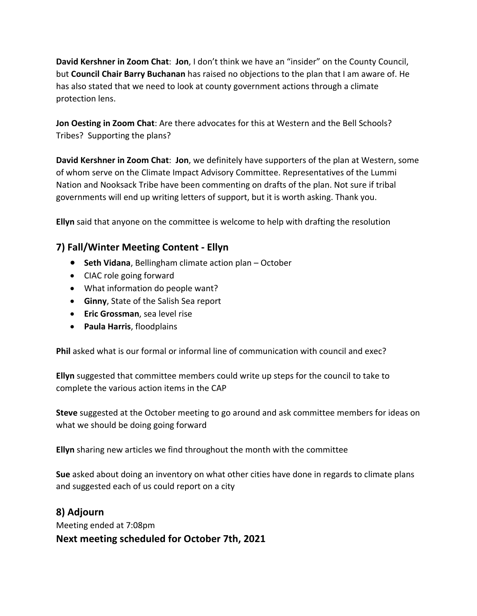**David Kershner in Zoom Chat**: **Jon**, I don't think we have an "insider" on the County Council, but **Council Chair Barry Buchanan** has raised no objections to the plan that I am aware of. He has also stated that we need to look at county government actions through a climate protection lens.

**Jon Oesting in Zoom Chat**: Are there advocates for this at Western and the Bell Schools? Tribes? Supporting the plans?

**David Kershner in Zoom Chat**: **Jon**, we definitely have supporters of the plan at Western, some of whom serve on the Climate Impact Advisory Committee. Representatives of the Lummi Nation and Nooksack Tribe have been commenting on drafts of the plan. Not sure if tribal governments will end up writing letters of support, but it is worth asking. Thank you.

**Ellyn** said that anyone on the committee is welcome to help with drafting the resolution

## **7) Fall/Winter Meeting Content - Ellyn**

- **Seth Vidana**, Bellingham climate action plan October
- CIAC role going forward
- What information do people want?
- **Ginny**, State of the Salish Sea report
- **Eric Grossman**, sea level rise
- **Paula Harris**, floodplains

**Phil** asked what is our formal or informal line of communication with council and exec?

**Ellyn** suggested that committee members could write up steps for the council to take to complete the various action items in the CAP

**Steve** suggested at the October meeting to go around and ask committee members for ideas on what we should be doing going forward

**Ellyn** sharing new articles we find throughout the month with the committee

**Sue** asked about doing an inventory on what other cities have done in regards to climate plans and suggested each of us could report on a city

## **8) Adjourn**

Meeting ended at 7:08pm **Next meeting scheduled for October 7th, 2021**